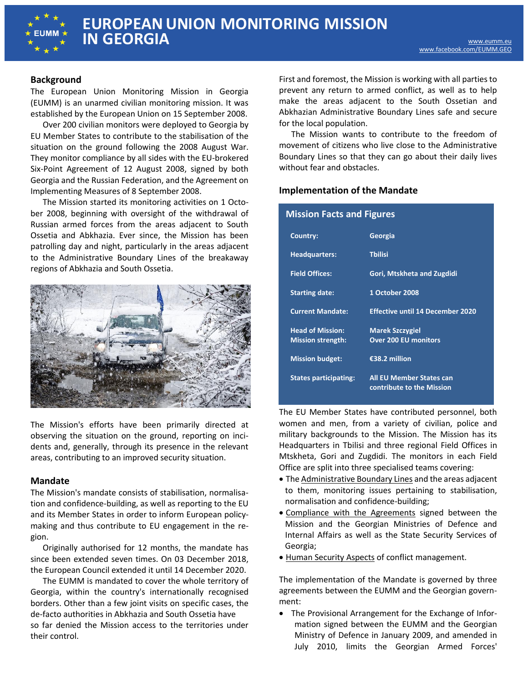

# **Background**

The European Union Monitoring Mission in Georgia (EUMM) is an unarmed civilian monitoring mission. It was established by the European Union on 15 September 2008.

Over 200 civilian monitors were deployed to Georgia by EU Member States to contribute to the stabilisation of the situation on the ground following the 2008 August War. They monitor compliance by all sides with the EU-brokered Six-Point Agreement of 12 August 2008, signed by both Georgia and the Russian Federation, and the Agreement on Implementing Measures of 8 September 2008.

The Mission started its monitoring activities on 1 October 2008, beginning with oversight of the withdrawal of Russian armed forces from the areas adjacent to South Ossetia and Abkhazia. Ever since, the Mission has been patrolling day and night, particularly in the areas adjacent to the Administrative Boundary Lines of the breakaway regions of Abkhazia and South Ossetia.



The Mission's efforts have been primarily directed at observing the situation on the ground, reporting on incidents and, generally, through its presence in the relevant areas, contributing to an improved security situation.

### **Mandate**

The Mission's mandate consists of stabilisation, normalisation and confidence-building, as well as reporting to the EU and its Member States in order to inform European policymaking and thus contribute to EU engagement in the region.

Originally authorised for 12 months, the mandate has since been extended seven times. On 03 December 2018, the European Council extended it until 14 December 2020.

The EUMM is mandated to cover the whole territory of Georgia, within the country's internationally recognised borders. Other than a few joint visits on specific cases, the de-facto authorities in Abkhazia and South Ossetia have so far denied the Mission access to the territories under their control.

First and foremost, the Mission is working with all parties to prevent any return to armed conflict, as well as to help make the areas adjacent to the South Ossetian and Abkhazian Administrative Boundary Lines safe and secure for the local population.

The Mission wants to contribute to the freedom of movement of citizens who live close to the Administrative Boundary Lines so that they can go about their daily lives without fear and obstacles.

# **Implementation of the Mandate**

| <b>Mission Facts and Figures</b>                    |                                                              |
|-----------------------------------------------------|--------------------------------------------------------------|
| Country:                                            | Georgia                                                      |
| <b>Headquarters:</b>                                | <b>Thilisi</b>                                               |
| <b>Field Offices:</b>                               | Gori, Mtskheta and Zugdidi                                   |
| <b>Starting date:</b>                               | 1 October 2008                                               |
| <b>Current Mandate:</b>                             | <b>Effective until 14 December 2020</b>                      |
| <b>Head of Mission:</b><br><b>Mission strength:</b> | <b>Marek Szczygiel</b><br><b>Over 200 EU monitors</b>        |
| <b>Mission budget:</b>                              | €38.2 million                                                |
| <b>States participating:</b>                        | <b>All EU Member States can</b><br>contribute to the Mission |

The EU Member States have contributed personnel, both women and men, from a variety of civilian, police and military backgrounds to the Mission. The Mission has its Headquarters in Tbilisi and three regional Field Offices in Mtskheta, Gori and Zugdidi. The monitors in each Field Office are split into three specialised teams covering:

- The Administrative Boundary Lines and the areas adjacent to them, monitoring issues pertaining to stabilisation, normalisation and confidence-building;
- Compliance with the Agreements signed between the Mission and the Georgian Ministries of Defence and Internal Affairs as well as the State Security Services of Georgia;
- Human Security Aspects of conflict management.

The implementation of the Mandate is governed by three agreements between the EUMM and the Georgian government:

• The Provisional Arrangement for the Exchange of Information signed between the EUMM and the Georgian Ministry of Defence in January 2009, and amended in July 2010, limits the Georgian Armed Forces'